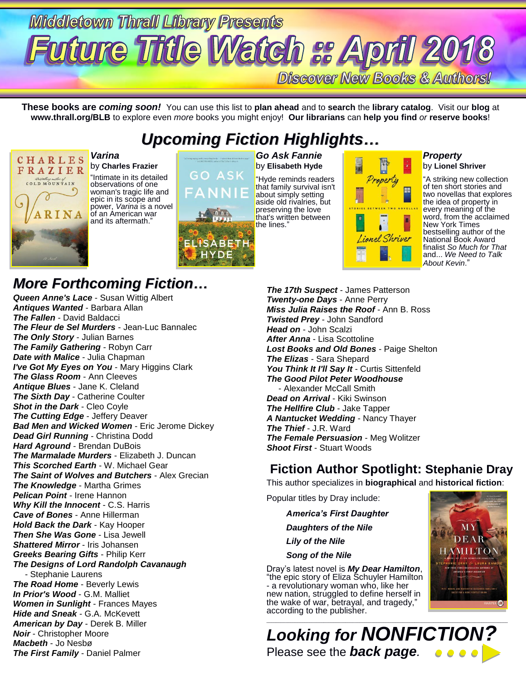# **Middletown Thrall Library Presents fture 1ftile Watch :: April 20 Discover New Books & Authors!**

**These books are** *coming soon!* You can use this list to **plan ahead** and to **search** the **library catalog**. Visit our **blog** at **www.thrall.org/BLB** to explore even *more* books you might enjoy! **Our librarians** can **help you find** *or* **reserve books**!

# *Upcoming Fiction Highlights…*



*Varina* by **Charles Frazier**

"Intimate in its detailed observations of one woman's tragic life and epic in its scope and power, *Varina* is a novel of an American war and its aftermath."



*Go Ask Fannie* by **Elisabeth Hyde**

"Hyde reminds readers that family survival isn't about simply setting aside old rivalries, but preserving the love that's written between the lines."



### *Property* by **Lionel Shriver**

"A striking new collection of ten short stories and two novellas that explores the idea of property in every meaning of the word, from the acclaimed New York Times bestselling author of the National Book Award finalist *So Much for That* and... *We Need to Talk About Kevin*."

## *More Forthcoming Fiction…*

*Queen Anne's Lace* - Susan Wittig Albert *Antiques Wanted* - Barbara Allan *The Fallen* - David Baldacci *The Fleur de Sel Murders* - Jean-Luc Bannalec *The Only Story* - Julian Barnes *The Family Gathering* - Robyn Carr *Date with Malice* - Julia Chapman *I've Got My Eyes on You* - Mary Higgins Clark *The Glass Room* - Ann Cleeves *Antique Blues* - Jane K. Cleland *The Sixth Day* - Catherine Coulter *Shot in the Dark* - Cleo Coyle *The Cutting Edge* - Jeffery Deaver *Bad Men and Wicked Women* - Eric Jerome Dickey *Dead Girl Running* - Christina Dodd *Hard Aground* - Brendan DuBois *The Marmalade Murders* - Elizabeth J. Duncan *This Scorched Earth* - W. Michael Gear *The Saint of Wolves and Butchers* - Alex Grecian *The Knowledge* - Martha Grimes *Pelican Point* - Irene Hannon *Why Kill the Innocent* - C.S. Harris *Cave of Bones* - Anne Hillerman *Hold Back the Dark* - Kay Hooper *Then She Was Gone* - Lisa Jewell *Shattered Mirror* - Iris Johansen *Greeks Bearing Gifts* - Philip Kerr *The Designs of Lord Randolph Cavanaugh* - Stephanie Laurens *The Road Home* - Beverly Lewis *In Prior's Wood* - G.M. Malliet *Women in Sunlight* - Frances Mayes *Hide and Sneak* - G.A. McKevett *American by Day* - Derek B. Miller *Noir* - Christopher Moore *Macbeth* - Jo Nesbø *The First Family* - Daniel Palmer

*The 17th Suspect* - James Patterson *Twenty-one Days* - Anne Perry *Miss Julia Raises the Roof* - Ann B. Ross *Twisted Prey* - John Sandford *Head on* - John Scalzi *After Anna* - Lisa Scottoline *Lost Books and Old Bones* - Paige Shelton *The Elizas* - Sara Shepard *You Think It I'll Say It* - Curtis Sittenfeld *The Good Pilot Peter Woodhouse* - Alexander McCall Smith *Dead on Arrival* - Kiki Swinson *The Hellfire Club* - Jake Tapper *A Nantucket Wedding* - Nancy Thayer *The Thief* - J.R. Ward *The Female Persuasion* - Meg Wolitzer *Shoot First* - Stuart Woods

## **Fiction Author Spotlight: Stephanie Dray**

This author specializes in **biographical** and **historical fiction**:

Popular titles by Dray include:

*America's First Daughter Daughters of the Nile Lily of the Nile Song of the Nile*

Dray's latest novel is *My Dear Hamilton*, "the epic story of Eliza Schuyler Hamilton - a revolutionary woman who, like her new nation, struggled to define herself in the wake of war, betrayal, and tragedy," according to the publisher.



\_\_\_\_\_\_\_\_\_\_\_\_\_\_\_\_\_\_\_\_\_\_\_\_\_\_\_\_\_\_\_\_\_\_\_\_\_\_\_\_\_\_\_\_\_\_\_\_\_\_\_\_\_\_\_\_\_\_\_\_\_\_\_\_\_\_\_\_\_\_\_\_\_\_\_\_\_\_\_\_\_\_\_\_\_\_\_\_\_\_\_\_\_\_\_\_\_\_\_\_\_ *Looking for NONFICTION?* Please see the *back page.*